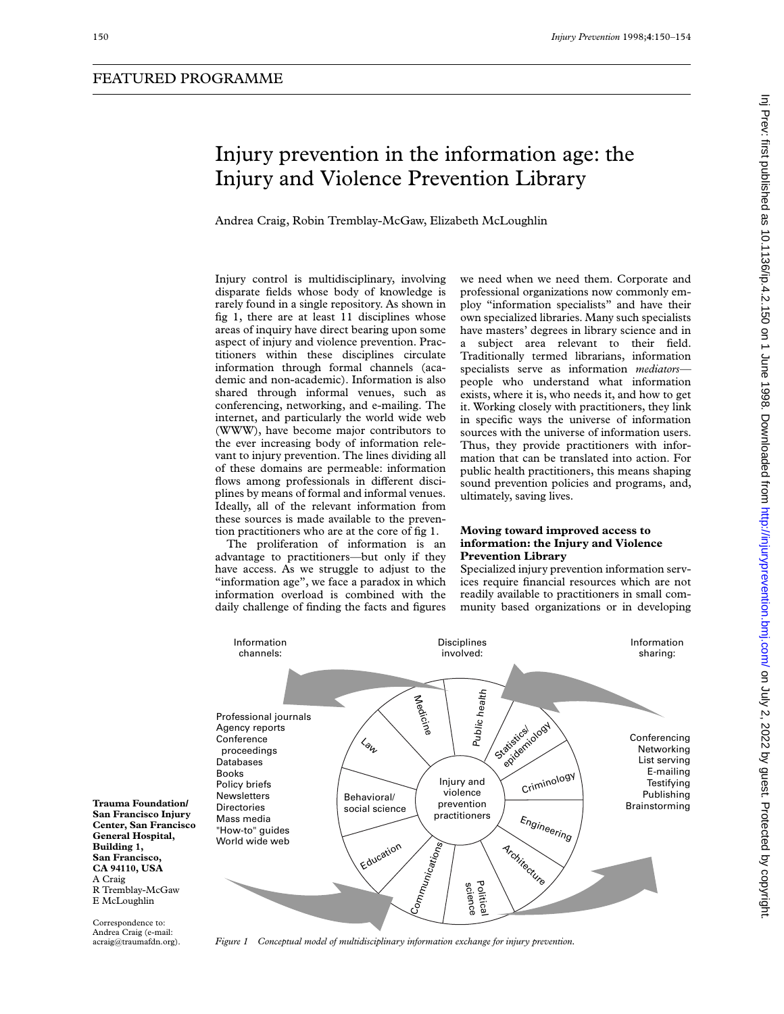# Injury prevention in the information age: the Injury and Violence Prevention Library

Andrea Craig, Robin Tremblay-McGaw, Elizabeth McLoughlin

Injury control is multidisciplinary, involving disparate fields whose body of knowledge is rarely found in a single repository. As shown in fig 1, there are at least 11 disciplines whose areas of inquiry have direct bearing upon some aspect of injury and violence prevention. Practitioners within these disciplines circulate information through formal channels (academic and non-academic). Information is also shared through informal venues, such as conferencing, networking, and e-mailing. The internet, and particularly the world wide web (WWW), have become major contributors to the ever increasing body of information relevant to injury prevention. The lines dividing all of these domains are permeable: information flows among professionals in different disciplines by means of formal and informal venues. Ideally, all of the relevant information from these sources is made available to the prevention practitioners who are at the core of fig 1.

The proliferation of information is an advantage to practitioners—but only if they have access. As we struggle to adjust to the "information age", we face a paradox in which information overload is combined with the daily challenge of finding the facts and figures

we need when we need them. Corporate and professional organizations now commonly employ "information specialists" and have their own specialized libraries. Many such specialists have masters' degrees in library science and in a subject area relevant to their field. Traditionally termed librarians, information specialists serve as information *mediators* people who understand what information exists, where it is, who needs it, and how to get it. Working closely with practitioners, they link in specific ways the universe of information sources with the universe of information users. Thus, they provide practitioners with information that can be translated into action. For public health practitioners, this means shaping sound prevention policies and programs, and, ultimately, saving lives.

## **Moving toward improved access to information: the Injury and Violence Prevention Library**

Specialized injury prevention information services require financial resources which are not readily available to practitioners in small community based organizations or in developing



**Trauma Foundation/ San Francisco Injury Center, San Francisco General Hospital, Building 1, San Francisco, CA 94110, USA** A Craig R Tremblay-McGaw E McLoughlin

Correspondence to: Andrea Craig (e-mail: acraig@traumafdn.org).

*Figure 1 Conceptual model of multidisciplinary information exchange for injury prevention.*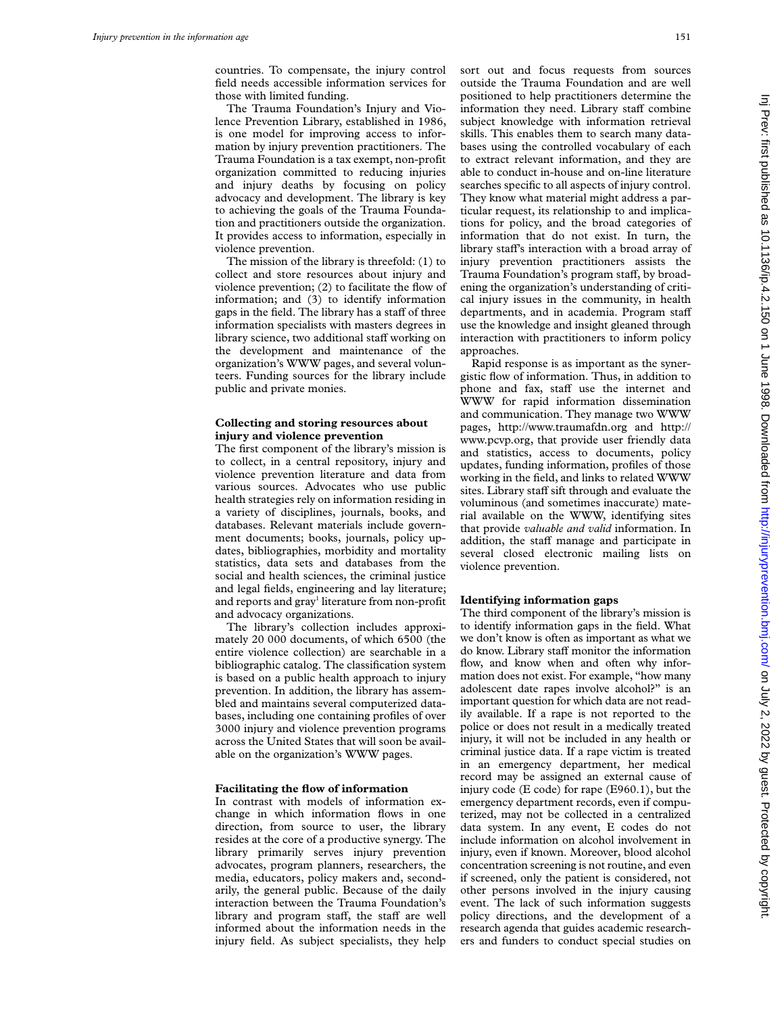countries. To compensate, the injury control field needs accessible information services for those with limited funding.

The Trauma Foundation's Injury and Violence Prevention Library, established in 1986, is one model for improving access to information by injury prevention practitioners. The Trauma Foundation is a tax exempt, non-profit organization committed to reducing injuries and injury deaths by focusing on policy advocacy and development. The library is key to achieving the goals of the Trauma Foundation and practitioners outside the organization. It provides access to information, especially in violence prevention.

The mission of the library is threefold: (1) to collect and store resources about injury and violence prevention; (2) to facilitate the flow of information; and (3) to identify information gaps in the field. The library has a staff of three information specialists with masters degrees in library science, two additional staff working on the development and maintenance of the organization's WWW pages, and several volunteers. Funding sources for the library include public and private monies.

## **Collecting and storing resources about injury and violence prevention**

The first component of the library's mission is to collect, in a central repository, injury and violence prevention literature and data from various sources. Advocates who use public health strategies rely on information residing in a variety of disciplines, journals, books, and databases. Relevant materials include government documents; books, journals, policy updates, bibliographies, morbidity and mortality statistics, data sets and databases from the social and health sciences, the criminal justice and legal fields, engineering and lay literature; and reports and gray<sup>1</sup> literature from non-profit and advocacy organizations.

The library's collection includes approximately 20 000 documents, of which 6500 (the entire violence collection) are searchable in a bibliographic catalog. The classification system is based on a public health approach to injury prevention. In addition, the library has assembled and maintains several computerized databases, including one containing profiles of over 3000 injury and violence prevention programs across the United States that will soon be available on the organization's WWW pages.

# **Facilitating the flow of information**

In contrast with models of information exchange in which information flows in one direction, from source to user, the library resides at the core of a productive synergy. The library primarily serves injury prevention advocates, program planners, researchers, the media, educators, policy makers and, secondarily, the general public. Because of the daily interaction between the Trauma Foundation's library and program staff, the staff are well informed about the information needs in the injury field. As subject specialists, they help

sort out and focus requests from sources outside the Trauma Foundation and are well positioned to help practitioners determine the information they need. Library staff combine subject knowledge with information retrieval skills. This enables them to search many databases using the controlled vocabulary of each to extract relevant information, and they are able to conduct in-house and on-line literature searches specific to all aspects of injury control. They know what material might address a particular request, its relationship to and implications for policy, and the broad categories of information that do not exist. In turn, the library staff's interaction with a broad array of injury prevention practitioners assists the Trauma Foundation's program staff, by broadening the organization's understanding of critical injury issues in the community, in health departments, and in academia. Program staff use the knowledge and insight gleaned through interaction with practitioners to inform policy approaches.

Rapid response is as important as the synergistic flow of information. Thus, in addition to phone and fax, staff use the internet and WWW for rapid information dissemination and communication. They manage two WWW pages, http://www.traumafdn.org and http:// www.pcvp.org, that provide user friendly data and statistics, access to documents, policy updates, funding information, profiles of those working in the field, and links to related WWW sites. Library staff sift through and evaluate the voluminous (and sometimes inaccurate) material available on the WWW, identifying sites that provide *valuable and valid* information. In addition, the staff manage and participate in several closed electronic mailing lists on violence prevention.

## **Identifying information gaps**

The third component of the library's mission is to identify information gaps in the field. What we don't know is often as important as what we do know. Library staff monitor the information flow, and know when and often why information does not exist. For example, "how many adolescent date rapes involve alcohol?" is an important question for which data are not readily available. If a rape is not reported to the police or does not result in a medically treated injury, it will not be included in any health or criminal justice data. If a rape victim is treated in an emergency department, her medical record may be assigned an external cause of injury code (E code) for rape (E960.1), but the emergency department records, even if computerized, may not be collected in a centralized data system. In any event, E codes do not include information on alcohol involvement in injury, even if known. Moreover, blood alcohol concentration screening is not routine, and even if screened, only the patient is considered, not other persons involved in the injury causing event. The lack of such information suggests policy directions, and the development of a research agenda that guides academic researchers and funders to conduct special studies on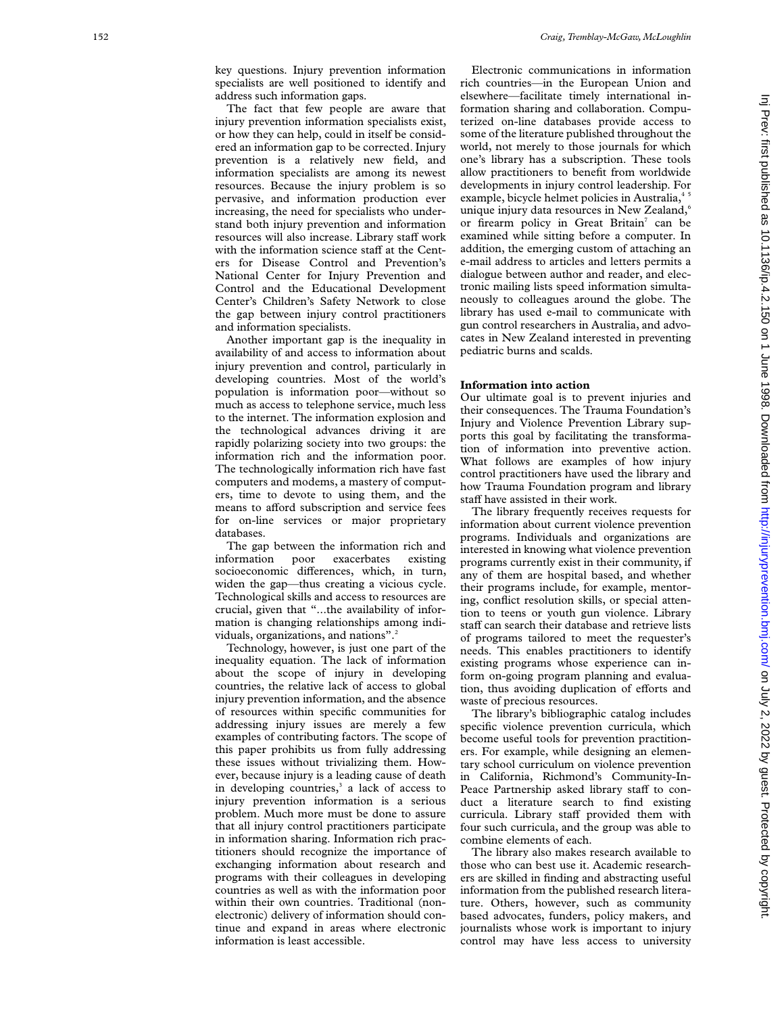key questions. Injury prevention information specialists are well positioned to identify and address such information gaps.

The fact that few people are aware that injury prevention information specialists exist, or how they can help, could in itself be considered an information gap to be corrected. Injury prevention is a relatively new field, and information specialists are among its newest resources. Because the injury problem is so pervasive, and information production ever increasing, the need for specialists who understand both injury prevention and information resources will also increase. Library staff work with the information science staff at the Centers for Disease Control and Prevention's National Center for Injury Prevention and Control and the Educational Development Center's Children's Safety Network to close the gap between injury control practitioners and information specialists.

Another important gap is the inequality in availability of and access to information about injury prevention and control, particularly in developing countries. Most of the world's population is information poor—without so much as access to telephone service, much less to the internet. The information explosion and the technological advances driving it are rapidly polarizing society into two groups: the information rich and the information poor. The technologically information rich have fast computers and modems, a mastery of computers, time to devote to using them, and the means to afford subscription and service fees for on-line services or major proprietary databases.

The gap between the information rich and information poor exacerbates existing socioeconomic differences, which, in turn, widen the gap—thus creating a vicious cycle. Technological skills and access to resources are crucial, given that "...the availability of information is changing relationships among individuals, organizations, and nations".<sup>2</sup>

Technology, however, is just one part of the inequality equation. The lack of information about the scope of injury in developing countries, the relative lack of access to global injury prevention information, and the absence of resources within specific communities for addressing injury issues are merely a few examples of contributing factors. The scope of this paper prohibits us from fully addressing these issues without trivializing them. However, because injury is a leading cause of death in developing countries, <sup>3</sup> a lack of access to injury prevention information is a serious problem. Much more must be done to assure that all injury control practitioners participate in information sharing. Information rich practitioners should recognize the importance of exchanging information about research and programs with their colleagues in developing countries as well as with the information poor within their own countries. Traditional (nonelectronic) delivery of information should continue and expand in areas where electronic information is least accessible.

Electronic communications in information rich countries—in the European Union and elsewhere—facilitate timely international information sharing and collaboration. Computerized on-line databases provide access to some of the literature published throughout the world, not merely to those journals for which one's library has a subscription. These tools allow practitioners to benefit from worldwide developments in injury control leadership. For example, bicycle helmet policies in Australia,<sup>4</sup> unique injury data resources in New Zealand, 6 or firearm policy in Great Britain <sup>7</sup> can be examined while sitting before a computer. In addition, the emerging custom of attaching an e-mail address to articles and letters permits a dialogue between author and reader, and electronic mailing lists speed information simultaneously to colleagues around the globe. The library has used e-mail to communicate with gun control researchers in Australia, and advocates in New Zealand interested in preventing pediatric burns and scalds.

### **Information into action**

Our ultimate goal is to prevent injuries and their consequences. The Trauma Foundation's Injury and Violence Prevention Library supports this goal by facilitating the transformation of information into preventive action. What follows are examples of how injury control practitioners have used the library and how Trauma Foundation program and library staff have assisted in their work.

The library frequently receives requests for information about current violence prevention programs. Individuals and organizations are interested in knowing what violence prevention programs currently exist in their community, if any of them are hospital based, and whether their programs include, for example, mentoring, conflict resolution skills, or special attention to teens or youth gun violence. Library staff can search their database and retrieve lists of programs tailored to meet the requester's needs. This enables practitioners to identify existing programs whose experience can inform on-going program planning and evaluation, thus avoiding duplication of efforts and waste of precious resources.

The library's bibliographic catalog includes specific violence prevention curricula, which become useful tools for prevention practitioners. For example, while designing an elementary school curriculum on violence prevention in California, Richmond's Community-In-Peace Partnership asked library staff to conduct a literature search to find existing curricula. Library staff provided them with four such curricula, and the group was able to combine elements of each.

The library also makes research available to those who can best use it. Academic researchers are skilled in finding and abstracting useful information from the published research literature. Others, however, such as community based advocates, funders, policy makers, and journalists whose work is important to injury control may have less access to university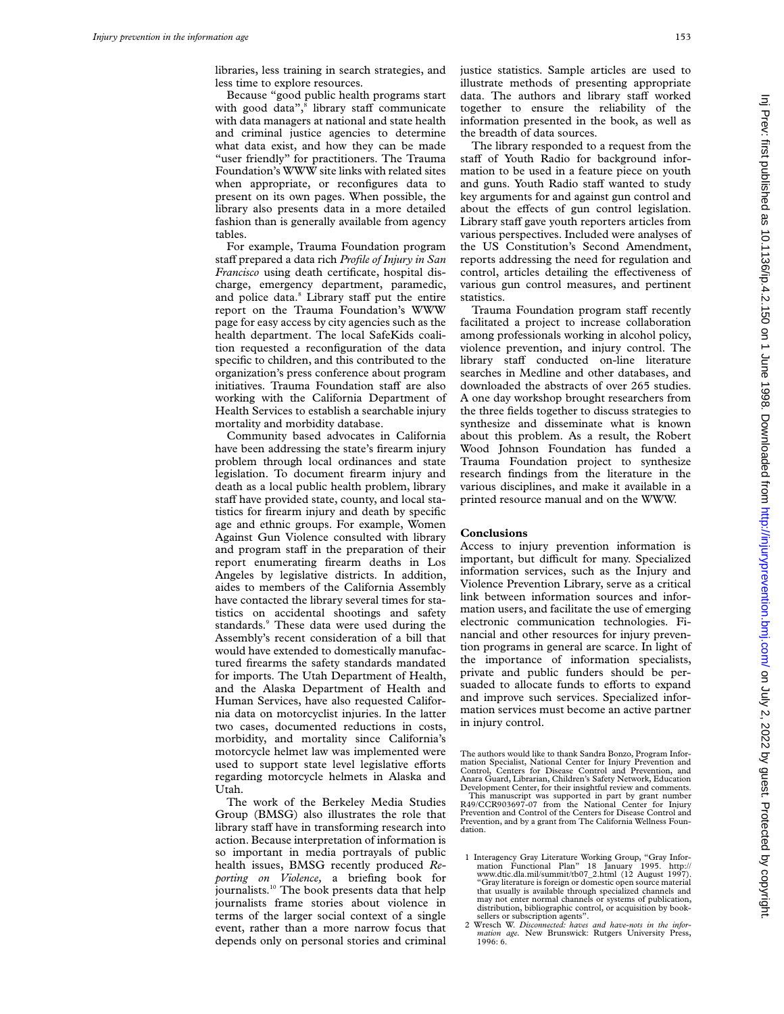libraries, less training in search strategies, and less time to explore resources.

Because "good public health programs start with good data",<sup>8</sup> library staff communicate with data managers at national and state health and criminal justice agencies to determine what data exist, and how they can be made "user friendly" for practitioners. The Trauma Foundation's WWW site links with related sites when appropriate, or reconfigures data to present on its own pages. When possible, the library also presents data in a more detailed fashion than is generally available from agency tables.

For example, Trauma Foundation program staff prepared a data rich *Profile of Injury in San Francisco* using death certificate, hospital discharge, emergency department, paramedic, and police data.<sup>8</sup> Library staff put the entire report on the Trauma Foundation's WWW page for easy access by city agencies such as the health department. The local SafeKids coalition requested a reconfiguration of the data specific to children, and this contributed to the organization's press conference about program initiatives. Trauma Foundation staff are also working with the California Department of Health Services to establish a searchable injury mortality and morbidity database.

Community based advocates in California have been addressing the state's firearm injury problem through local ordinances and state legislation. To document firearm injury and death as a local public health problem, library staff have provided state, county, and local statistics for firearm injury and death by specific age and ethnic groups. For example, Women Against Gun Violence consulted with library and program staff in the preparation of their report enumerating firearm deaths in Los Angeles by legislative districts. In addition, aides to members of the California Assembly have contacted the library several times for statistics on accidental shootings and safety standards.<sup>9</sup> These data were used during the Assembly's recent consideration of a bill that would have extended to domestically manufactured firearms the safety standards mandated for imports. The Utah Department of Health, and the Alaska Department of Health and Human Services, have also requested California data on motorcyclist injuries. In the latter two cases, documented reductions in costs, morbidity, and mortality since California's motorcycle helmet law was implemented were used to support state level legislative efforts regarding motorcycle helmets in Alaska and Utah.

The work of the Berkeley Media Studies Group (BMSG) also illustrates the role that library staff have in transforming research into action. Because interpretation of information is so important in media portrayals of public health issues, BMSG recently produced *Reporting on Violence,* a briefing book for journalists.<sup>10</sup> The book presents data that help journalists frame stories about violence in terms of the larger social context of a single event, rather than a more narrow focus that depends only on personal stories and criminal

justice statistics. Sample articles are used to illustrate methods of presenting appropriate data. The authors and library staff worked together to ensure the reliability of the information presented in the book, as well as the breadth of data sources.

The library responded to a request from the staff of Youth Radio for background information to be used in a feature piece on youth and guns. Youth Radio staff wanted to study key arguments for and against gun control and about the effects of gun control legislation. Library staff gave youth reporters articles from various perspectives. Included were analyses of the US Constitution's Second Amendment, reports addressing the need for regulation and control, articles detailing the effectiveness of various gun control measures, and pertinent statistics.

Trauma Foundation program staff recently facilitated a project to increase collaboration among professionals working in alcohol policy, violence prevention, and injury control. The library staff conducted on-line literature searches in Medline and other databases, and downloaded the abstracts of over 265 studies. A one day workshop brought researchers from the three fields together to discuss strategies to synthesize and disseminate what is known about this problem. As a result, the Robert Wood Johnson Foundation has funded a Trauma Foundation project to synthesize research findings from the literature in the various disciplines, and make it available in a printed resource manual and on the WWW.

### **Conclusions**

Access to injury prevention information is important, but difficult for many. Specialized information services, such as the Injury and Violence Prevention Library, serve as a critical link between information sources and information users, and facilitate the use of emerging electronic communication technologies. Financial and other resources for injury prevention programs in general are scarce. In light of the importance of information specialists, private and public funders should be persuaded to allocate funds to efforts to expand and improve such services. Specialized information services must become an active partner in injury control.

The authors would like to thank Sandra Bonzo, Program Information Specialist, National Center for Injury Prevention and Control, Centers for Disease Control and Prevention, and Anara Guard, Librarian, Children's Safety Network, Education Development Center, for their insightful review and comments. This manuscript was supported in part by grant number R49/CCR903697-07 from the National Center for Injury Prevention and Control of the Centers for Disease Control and Prevention, and by a grant from The California Wellness Foundation.

<sup>1</sup> Interagency Gray Literature Working Group, "Gray Infor-mation Functional Plan" 18 January 1995. http:// www.dtic.dla.mil/summit/tb07\_2.html (12 August 1997). "Gray literature is foreign or domestic open source material that usually is available through specialized channels and may not enter normal channels or systems of publication, distribution, bibliographic control, or acquisition by book-sellers or subscription agents".

<sup>2</sup> Wresch W. *Disconnected: haves and have-nots in the infor-mation age.* New Brunswick: Rutgers University Press, 1996: 6.